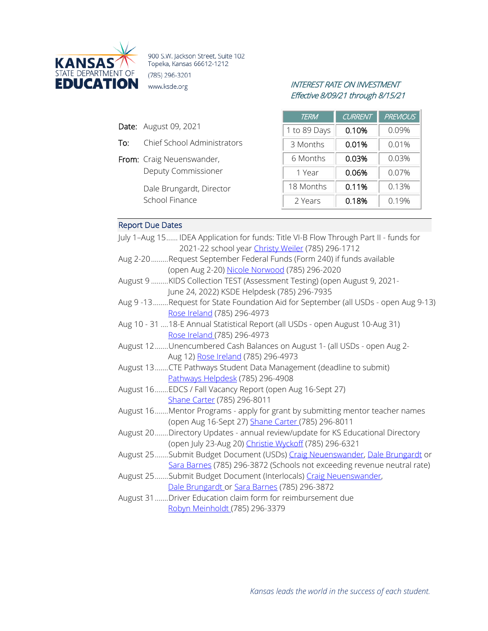

900 S.W. Jackson Street, Suite 102 Topeka, Kansas 66612-1212 (785) 296-3201 **EDUCATION** www.ksde.org INTEREST RATE ON INVESTMENT

# Effective 8/09/21 through 8/15/21

| <b>Date:</b> August 09, 2021 |  |
|------------------------------|--|
|                              |  |

- To: Chief School Administrators
- From: Craig Neuenswander, Deputy Commissioner

Dale Brungardt, Director School Finance

| <b>TERM</b>  | <b>CURRENT</b> | <b>PREVIOUS</b> |
|--------------|----------------|-----------------|
| 1 to 89 Days | 0.10%          | 0.09%           |
| 3 Months     | 0.01%          | 0.01%           |
| 6 Months     | 0.03%          | 0.03%           |
| 1 Year       | 0.06%          | 0.07%           |
| 18 Months    | 0.11%          | 0.13%           |
| 2 Years      | 0.18%          | 0.19%           |

# Report Due Dates

| July 1-Aug 15 IDEA Application for funds: Title VI-B Flow Through Part II - funds for |
|---------------------------------------------------------------------------------------|
| 2021-22 school year Christy Weiler (785) 296-1712                                     |
| Aug 2-20Request September Federal Funds (Form 240) if funds available                 |
| (open Aug 2-20) Nicole Norwood (785) 296-2020                                         |
| August 9 KIDS Collection TEST (Assessment Testing) (open August 9, 2021-              |
| June 24, 2022) KSDE Helpdesk (785) 296-7935                                           |
| Aug 9-13Request for State Foundation Aid for September (all USDs - open Aug 9-13)     |
| Rose Ireland (785) 296-4973                                                           |
| Aug 10 - 31  18-E Annual Statistical Report (all USDs - open August 10-Aug 31)        |
| Rose Ireland (785) 296-4973                                                           |
| August 12Unencumbered Cash Balances on August 1- (all USDs - open Aug 2-              |
| Aug 12) Rose Ireland (785) 296-4973                                                   |
| August 13  CTE Pathways Student Data Management (deadline to submit)                  |
| Pathways Helpdesk (785) 296-4908                                                      |
| August 16EDCS / Fall Vacancy Report (open Aug 16-Sept 27)                             |
| Shane Carter (785) 296-8011                                                           |
| August 16Mentor Programs - apply for grant by submitting mentor teacher names         |
| (open Aug 16-Sept 27) Shane Carter (785) 296-8011                                     |
| August 20Directory Updates - annual review/update for KS Educational Directory        |
| (open July 23-Aug 20) Christie Wyckoff (785) 296-6321                                 |
| August 25  Submit Budget Document (USDs) Craig Neuenswander, Dale Brungardt or        |
| Sara Barnes (785) 296-3872 (Schools not exceeding revenue neutral rate)               |
| August 25Submit Budget Document (Interlocals) Craig Neuenswander,                     |
| Dale Brungardt or Sara Barnes (785) 296-3872                                          |
| August 31 Driver Education claim form for reimbursement due                           |

[Robyn Meinholdt \(](mailto:rmeinholdt@ksde.org)785) 296-3379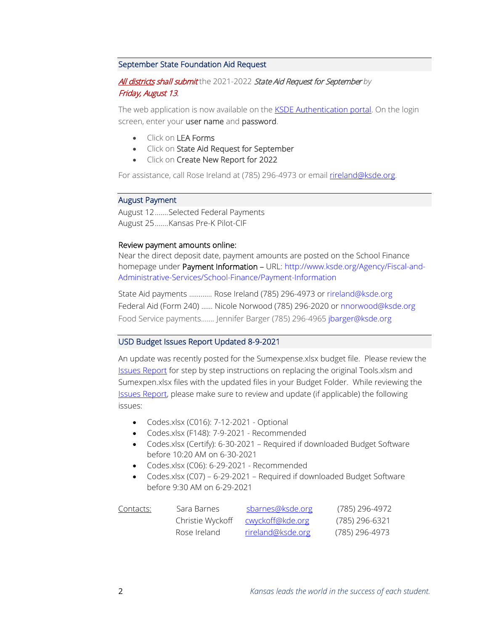## September State Foundation Aid Request

# All districts shall submit the 2021-2022 State Aid Request for September by Friday, August 13.

The web application is now available on the **KSDE Authentication portal**. On the login screen, enter your user name and password.

- Click on LEA Forms
- Click on State Aid Request for September
- Click on Create New Report for 2022

For assistance, call Rose Ireland at (785) 296-4973 or email [rireland@ksde.org.](mailto:rireland@ksde.org)

#### August Payment

August 12.......Selected Federal Payments August 25.......Kansas Pre-K Pilot-CIF

#### Review payment amounts online:

Near the direct deposit date, payment amounts are posted on the School Finance homepage under Payment Information - URL: [http://www.ksde.org/Agency/Fiscal-and-](http://www.ksde.org/Agency/Fiscal-and-Administrative-Services/School-Finance/Payment-Information)[Administrative-Services/School-Finance/Payment-Information](http://www.ksde.org/Agency/Fiscal-and-Administrative-Services/School-Finance/Payment-Information)

State Aid payments ………… Rose Ireland (785) 296-4973 or [rireland@ksde.org](mailto:rireland@ksde.org)  Federal Aid (Form 240) …… Nicole Norwood (785) 296-2020 or [nnorwood@ksde.org](mailto:nnorwood@ksde.org) Food Service payments……. Jennifer Barger (785) 296-4965 [jbarger@ksde.org](mailto:jbarger@ksde.org)

## USD Budget Issues Report Updated 8-9-2021

An update was recently posted for the Sumexpense.xlsx budget file. Please review the [Issues Report](https://www.ksde.org/Portals/0/School%20Finance/budget/Budget_Software/Issues%20Report%20-%20USD.pdf) for step by step instructions on replacing the original Tools.xlsm and Sumexpen.xlsx files with the updated files in your Budget Folder. While reviewing the [Issues Report,](https://www.ksde.org/Portals/0/School%20Finance/budget/Budget_Software/Issues%20Report%20-%20USD.pdf) please make sure to review and update (if applicable) the following issues:

- Codes.xlsx (C016): 7-12-2021 Optional
- Codes.xlsx (F148): 7-9-2021 Recommended
- Codes.xlsx (Certify): 6-30-2021 Required if downloaded Budget Software before 10:20 AM on 6-30-2021
- Codes.xlsx (C06): 6-29-2021 Recommended
- Codes.xlsx (C07) 6-29-2021 Required if downloaded Budget Software before 9:30 AM on 6-29-2021

| Contacts: | Sara Barnes      | sbarnes@ksde.org         | (785) 296-4972 |
|-----------|------------------|--------------------------|----------------|
|           | Christie Wyckoff | <u>cwyckoff@kde.org</u>  | (785) 296-6321 |
|           | Rose Ireland     | <u>rireland@ksde.org</u> | (785) 296-4973 |